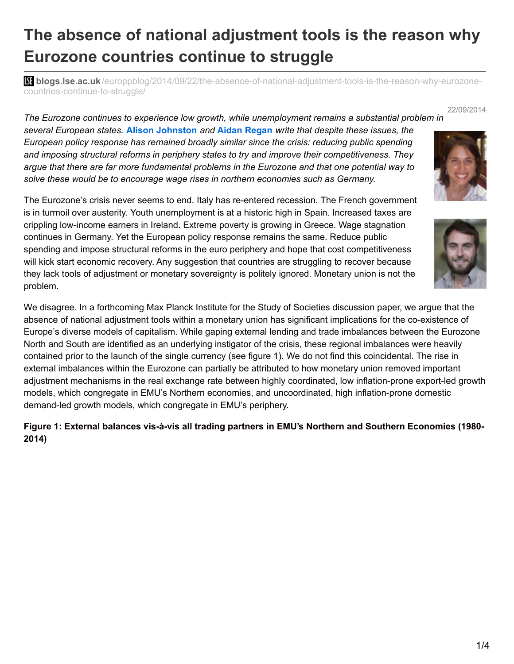# **The absence of national adjustment tools is the reason why Eurozone countries continue to struggle**

**bli blogs.lse.ac.uk**[/europpblog/2014/09/22/the-absence-of-national-adjustment-tools-is-the-reason-why-eurozone](http://blogs.lse.ac.uk/europpblog/2014/09/22/the-absence-of-national-adjustment-tools-is-the-reason-why-eurozone-countries-continue-to-struggle/)countries-continue-to-struggle/

*The Eurozone continues to experience low growth, while unemployment remains a substantial problem in*

*several European states.* **Alison Johnston** *and* **Aidan Regan** *write that despite these issues, the European policy response has remained broadly similar since the crisis: reducing public spending and imposing structural reforms in periphery states to try and improve their competitiveness. They argue that there are far more fundamental problems in the Eurozone and that one potential way to solve these would be to encourage wage rises in northern economies such as Germany.*

The Eurozone's crisis never seems to end. Italy has re-entered recession. The French government is in turmoil over austerity. Youth unemployment is at a historic high in Spain. Increased taxes are crippling low-income earners in Ireland. Extreme poverty is growing in Greece. Wage stagnation continues in Germany. Yet the European policy response remains the same. Reduce public spending and impose structural reforms in the euro periphery and hope that cost competitiveness will kick start economic recovery. Any suggestion that countries are struggling to recover because they lack tools of adjustment or monetary sovereignty is politely ignored. Monetary union is not the problem.

We disagree. In a forthcoming Max Planck Institute for the Study of Societies discussion paper, we argue that the absence of national adjustment tools within a monetary union has significant implications for the co-existence of Europe's diverse models of capitalism. While gaping external lending and trade imbalances between the Eurozone North and South are identified as an underlying instigator of the crisis, these regional imbalances were heavily contained prior to the launch of the single currency (see figure 1). We do not find this coincidental. The rise in external imbalances within the Eurozone can partially be attributed to how monetary union removed important adjustment mechanisms in the real exchange rate between highly coordinated, low inflation-prone export-led growth models, which congregate in EMU's Northern economies, and uncoordinated, high inflation-prone domestic demand-led growth models, which congregate in EMU's periphery.

#### **Figure 1: External balances vis-à-vis all trading partners in EMU's Northern and Southern Economies (1980- 2014)**





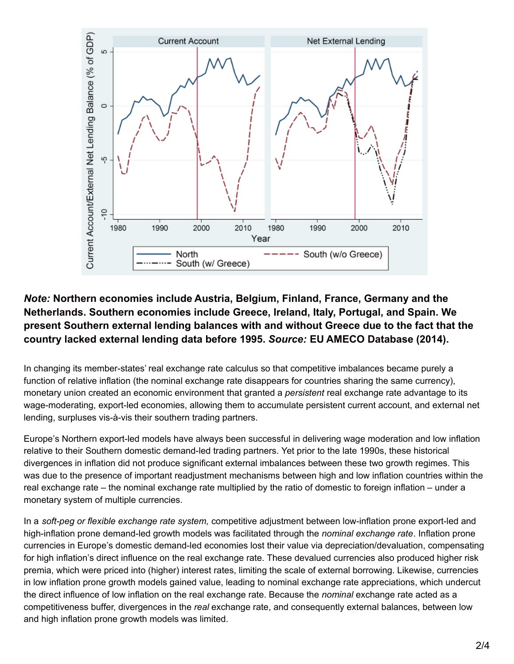

# *Note:* **Northern economies include Austria, Belgium, Finland, France, Germany and the Netherlands. Southern economies include Greece, Ireland, Italy, Portugal, and Spain. We present Southern external lending balances with and without Greece due to the fact that the country lacked external lending data before 1995.** *Source:* **EU AMECO Database (2014).**

In changing its member-states' real exchange rate calculus so that competitive imbalances became purely a function of relative inflation (the nominal exchange rate disappears for countries sharing the same currency), monetary union created an economic environment that granted a *persistent* real exchange rate advantage to its wage-moderating, export-led economies, allowing them to accumulate persistent current account, and external net lending, surpluses vis-à-vis their southern trading partners.

Europe's Northern export-led models have always been successful in delivering wage moderation and low inflation relative to their Southern domestic demand-led trading partners. Yet prior to the late 1990s, these historical divergences in inflation did not produce significant external imbalances between these two growth regimes. This was due to the presence of important readjustment mechanisms between high and low inflation countries within the real exchange rate – the nominal exchange rate multiplied by the ratio of domestic to foreign inflation – under a monetary system of multiple currencies.

In a *soft-peg or flexible exchange rate system,* competitive adjustment between low-inflation prone export-led and high-inflation prone demand-led growth models was facilitated through the *nominal exchange rate*. Inflation prone currencies in Europe's domestic demand-led economies lost their value via depreciation/devaluation, compensating for high inflation's direct influence on the real exchange rate. These devalued currencies also produced higher risk premia, which were priced into (higher) interest rates, limiting the scale of external borrowing. Likewise, currencies in low inflation prone growth models gained value, leading to nominal exchange rate appreciations, which undercut the direct influence of low inflation on the real exchange rate. Because the *nominal* exchange rate acted as a competitiveness buffer, divergences in the *real* exchange rate, and consequently external balances, between low and high inflation prone growth models was limited.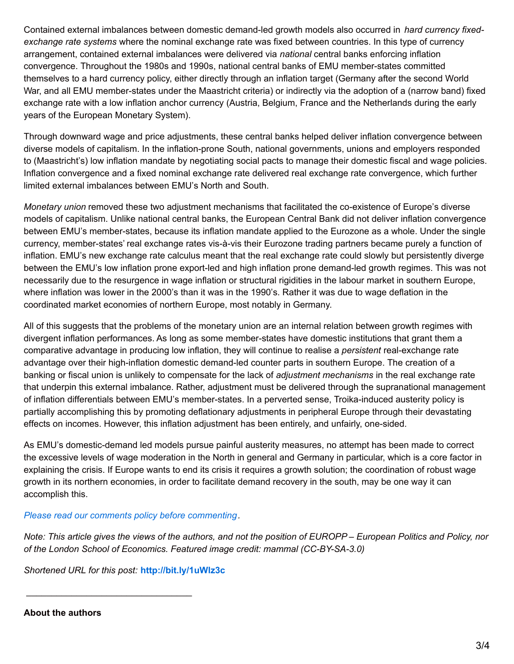Contained external imbalances between domestic demand-led growth models also occurred in *hard currency fixedexchange rate systems* where the nominal exchange rate was fixed between countries. In this type of currency arrangement, contained external imbalances were delivered via *national* central banks enforcing inflation convergence. Throughout the 1980s and 1990s, national central banks of EMU member-states committed themselves to a hard currency policy, either directly through an inflation target (Germany after the second World War, and all EMU member-states under the Maastricht criteria) or indirectly via the adoption of a (narrow band) fixed exchange rate with a low inflation anchor currency (Austria, Belgium, France and the Netherlands during the early years of the European Monetary System).

Through downward wage and price adjustments, these central banks helped deliver inflation convergence between diverse models of capitalism. In the inflation-prone South, national governments, unions and employers responded to (Maastricht's) low inflation mandate by negotiating social pacts to manage their domestic fiscal and wage policies. Inflation convergence and a fixed nominal exchange rate delivered real exchange rate convergence, which further limited external imbalances between EMU's North and South.

*Monetary union* removed these two adjustment mechanisms that facilitated the co-existence of Europe's diverse models of capitalism. Unlike national central banks, the European Central Bank did not deliver inflation convergence between EMU's member-states, because its inflation mandate applied to the Eurozone as a whole. Under the single currency, member-states' real exchange rates vis-à-vis their Eurozone trading partners became purely a function of inflation. EMU's new exchange rate calculus meant that the real exchange rate could slowly but persistently diverge between the EMU's low inflation prone export-led and high inflation prone demand-led growth regimes. This was not necessarily due to the resurgence in wage inflation or structural rigidities in the labour market in southern Europe, where inflation was lower in the 2000's than it was in the 1990's. Rather it was due to wage deflation in the coordinated market economies of northern Europe, most notably in Germany.

All of this suggests that the problems of the monetary union are an internal relation between growth regimes with divergent inflation performances. As long as some member-states have domestic institutions that grant them a comparative advantage in producing low inflation, they will continue to realise a *persistent* real-exchange rate advantage over their high-inflation domestic demand-led counter parts in southern Europe. The creation of a banking or fiscal union is unlikely to compensate for the lack of *adjustment mechanisms* in the real exchange rate that underpin this external imbalance. Rather, adjustment must be delivered through the supranational management of inflation differentials between EMU's member-states. In a perverted sense, Troika-induced austerity policy is partially accomplishing this by promoting deflationary adjustments in peripheral Europe through their devastating effects on incomes. However, this inflation adjustment has been entirely, and unfairly, one-sided.

As EMU's domestic-demand led models pursue painful austerity measures, no attempt has been made to correct the excessive levels of wage moderation in the North in general and Germany in particular, which is a core factor in explaining the crisis. If Europe wants to end its crisis it requires a growth solution; the coordination of robust wage growth in its northern economies, in order to facilitate demand recovery in the south, may be one way it can accomplish this.

*Please read our comments policy before [commenting](http://blogs.lse.ac.uk/europpblog/about/comments-policy/).*

Note: This article gives the views of the authors, and not the position of EUROPP – European Politics and Policy, nor *of the London School of Economics. Featured image credit: mammal (CC-BY-SA-3.0)*

*Shortened URL for this post:* **<http://bit.ly/1uWlz3c>**